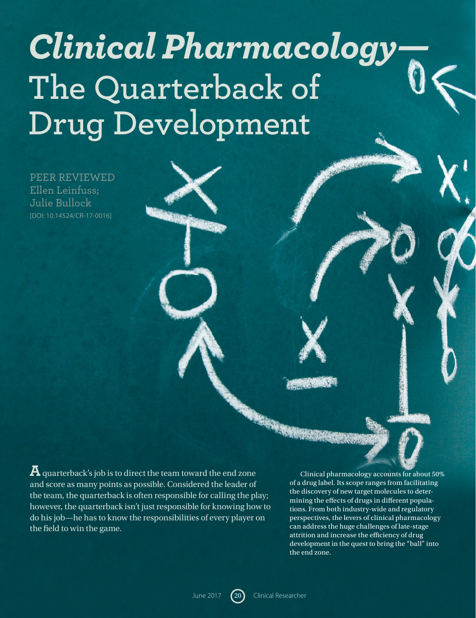# *Clinical Pharmacology—* **The Quarterback of Drug Development**

PEER REVIEWED Ellen Leinfuss; Julie Bullock [DOI: 10.14524/CR-17-0016]

**A** quarterback's job is to direct the team toward the end zone and score as many points as possible. Considered the leader of the team, the quarterback is often responsible for calling the play; however, the quarterback isn't just responsible for knowing how to do his job—he has to know the responsibilities of every player on the field to win the game.

Clinical pharmacology accounts for about 50% of a drug label. Its scope ranges from facilitating the discovery of new target molecules to determining the effects of drugs in different populations. From both industry-wide and regulatory perspectives, the levers of clinical pharmacology can address the huge challenges of late-stage attrition and increase the efficiency of drug development in the quest to bring the "ball" into the end zone.

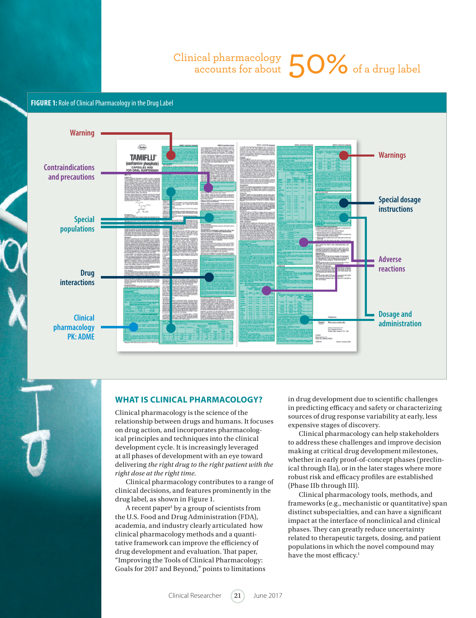# Clinical pharmacology ical pharmacology  $50\%$  of a drug label

## **FIGURE 1:** Role of Clinical Pharmacology in the Drug Label



#### **WHAT IS CLINICAL PHARMACOLOGY?**

Clinical pharmacology is the science of the relationship between drugs and humans. It focuses on drug action, and incorporates pharmacological principles and techniques into the clinical development cycle. It is increasingly leveraged at all phases of development with an eye toward delivering *the right drug to the right patient with the right dose at the right time.*

Clinical pharmacology contributes to a range of clinical decisions, and features prominently in the drug label, as shown in Figure 1.

A recent paper<sup>1</sup> by a group of scientists from the U.S. Food and Drug Administration (FDA), academia, and industry clearly articulated how clinical pharmacology methods and a quantitative framework can improve the efficiency of drug development and evaluation. That paper, "Improving the Tools of Clinical Pharmacology: Goals for 2017 and Beyond," points to limitations in drug development due to scientific challenges in predicting efficacy and safety or characterizing sources of drug response variability at early, less expensive stages of discovery.

Clinical pharmacology can help stakeholders to address these challenges and improve decision making at critical drug development milestones, whether in early proof-of-concept phases (preclinical through IIa), or in the later stages where more robust risk and efficacy profiles are established (Phase IIb through III).

Clinical pharmacology tools, methods, and frameworks (e.g., mechanistic or quantitative) span distinct subspecialties, and can have a significant impact at the interface of nonclinical and clinical phases. They can greatly reduce uncertainty related to therapeutic targets, dosing, and patient populations in which the novel compound may have the most efficacy.<sup>1</sup>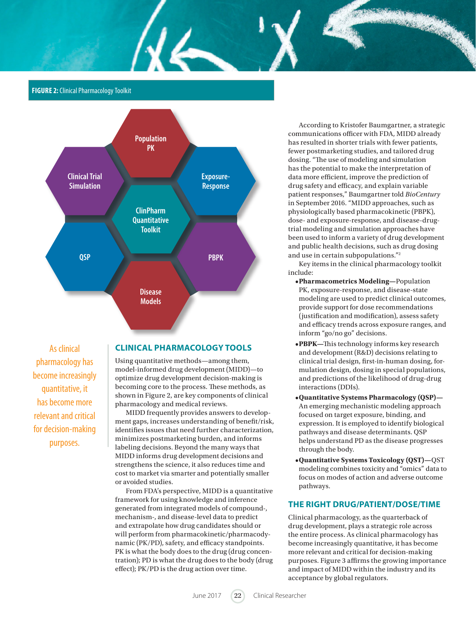# **FIGURE 2:** Clinical Pharmacology Toolkit



 $\mathcal{U}$ 

As clinical pharmacology has become increasingly quantitative, it has become more relevant and critical for decision-making purposes.

#### **CLINICAL PHARMACOLOGY TOOLS**

Using quantitative methods—among them, model-informed drug development (MIDD)—to optimize drug development decision-making is becoming core to the process. These methods, as shown in Figure 2, are key components of clinical pharmacology and medical reviews.

MIDD frequently provides answers to development gaps, increases understanding of benefit/risk, identifies issues that need further characterization, minimizes postmarketing burden, and informs labeling decisions. Beyond the many ways that MIDD informs drug development decisions and strengthens the science, it also reduces time and cost to market via smarter and potentially smaller or avoided studies.

From FDA's perspective, MIDD is a quantitative framework for using knowledge and inference generated from integrated models of compound-, mechanism-, and disease-level data to predict and extrapolate how drug candidates should or will perform from pharmacokinetic/pharmacodynamic (PK/PD), safety, and efficacy standpoints. PK is what the body does to the drug (drug concentration); PD is what the drug does to the body (drug effect); PK/PD is the drug action over time.

According to Kristofer Baumgartner, a strategic communications officer with FDA, MIDD already has resulted in shorter trials with fewer patients, fewer postmarketing studies, and tailored drug dosing. "The use of modeling and simulation has the potential to make the interpretation of data more efficient, improve the prediction of drug safety and efficacy, and explain variable patient responses," Baumgartner told *BioCentury* in September 2016. "MIDD approaches, such as physiologically based pharmacokinetic (PBPK), dose- and exposure-response, and disease-drugtrial modeling and simulation approaches have been used to inform a variety of drug development and public health decisions, such as drug dosing and use in certain subpopulations."2

Key items in the clinical pharmacology toolkit include:

- **•Pharmacometrics Modeling—**Population PK, exposure-response, and disease-state modeling are used to predict clinical outcomes, provide support for dose recommendations (justification and modification), assess safety and efficacy trends across exposure ranges, and inform "go/no go" decisions.
- **•PBPK—**This technology informs key research and development (R&D) decisions relating to clinical trial design, first-in-human dosing, formulation design, dosing in special populations, and predictions of the likelihood of drug-drug interactions (DDIs).
- **•Quantitative Systems Pharmacology (QSP)—** An emerging mechanistic modeling approach focused on target exposure, binding, and expression. It is employed to identify biological pathways and disease determinants. QSP helps understand PD as the disease progresses through the body.
- **•Quantitative Systems Toxicology (QST)—**QST modeling combines toxicity and "omics" data to focus on modes of action and adverse outcome pathways.

# **THE RIGHT DRUG/PATIENT/DOSE/TIME**

Clinical pharmacology, as the quarterback of drug development, plays a strategic role across the entire process. As clinical pharmacology has become increasingly quantitative, it has become more relevant and critical for decision-making purposes. Figure 3 affirms the growing importance and impact of MIDD within the industry and its acceptance by global regulators.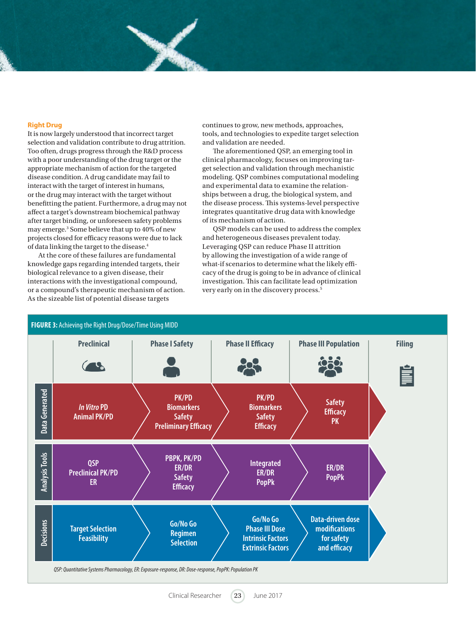#### **Right Drug**

It is now largely understood that incorrect target selection and validation contribute to drug attrition. Too often, drugs progress through the R&D process with a poor understanding of the drug target or the appropriate mechanism of action for the targeted disease condition. A drug candidate may fail to interact with the target of interest in humans, or the drug may interact with the target without benefitting the patient. Furthermore, a drug may not affect a target's downstream biochemical pathway after target binding, or unforeseen safety problems may emerge.<sup>3</sup> Some believe that up to 40% of new projects closed for efficacy reasons were due to lack of data linking the target to the disease.4

At the core of these failures are fundamental knowledge gaps regarding intended targets, their biological relevance to a given disease, their interactions with the investigational compound, or a compound's therapeutic mechanism of action. As the sizeable list of potential disease targets

continues to grow, new methods, approaches, tools, and technologies to expedite target selection and validation are needed.

The aforementioned QSP, an emerging tool in clinical pharmacology, focuses on improving target selection and validation through mechanistic modeling. QSP combines computational modeling and experimental data to examine the relationships between a drug, the biological system, and the disease process. This systems-level perspective integrates quantitative drug data with knowledge of its mechanism of action.

QSP models can be used to address the complex and heterogeneous diseases prevalent today. Leveraging QSP can reduce Phase II attrition by allowing the investigation of a wide range of what-if scenarios to determine what the likely efficacy of the drug is going to be in advance of clinical investigation. This can facilitate lead optimization very early on in the discovery process.5

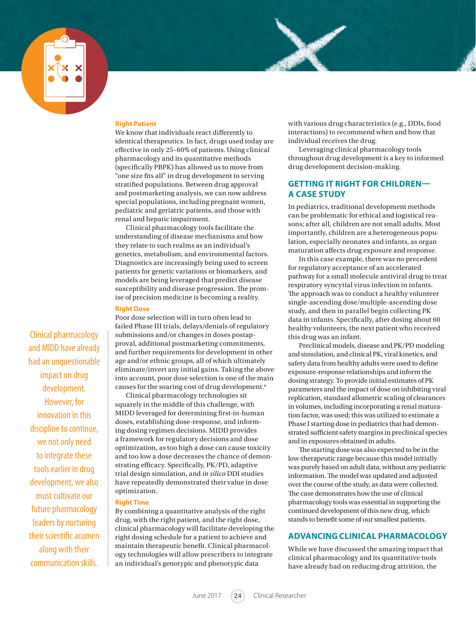

#### **Right Patient**

We know that individuals react differently to identical therapeutics. In fact, drugs used today are effective in only 25–60% of patients. Using clinical pharmacology and its quantitative methods (specifically PBPK) has allowed us to move from "one size fits all" in drug development to serving stratified populations. Between drug approval and postmarketing analysis, we can now address special populations, including pregnant women, pediatric and geriatric patients, and those with renal and hepatic impairment.

Clinical pharmacology tools facilitate the understanding of disease mechanisms and how they relate to such realms as an individual's genetics, metabolism, and environmental factors. Diagnostics are increasingly being used to screen patients for genetic variations or biomarkers, and models are being leveraged that predict disease susceptibility and disease progression. The promise of precision medicine is becoming a reality.

#### **Right Dose**

Poor dose selection will in turn often lead to failed Phase III trials, delays/denials of regulatory submissions and/or changes in doses postapproval, additional postmarketing commitments, and further requirements for development in other age and/or ethnic groups, all of which ultimately eliminate/invert any initial gains. Taking the above into account, poor dose selection is one of the main causes for the soaring cost of drug development.6

Clinical pharmacology technologies sit squarely in the middle of this challenge, with MIDD leveraged for determining first-in-human doses, establishing dose-response, and informing dosing regimen decisions. MIDD provides a framework for regulatory decisions and dose optimization, as too high a dose can cause toxicity and too low a dose decreases the chance of demonstrating efficacy. Specifically, PK/PD, adaptive trial design simulation, and *in silico* DDI studies have repeatedly demonstrated their value in dose optimization.

#### **Right Time**

By combining a quantitative analysis of the right drug, with the right patient, and the right dose, clinical pharmacology will facilitate developing the right dosing schedule for a patient to achieve and maintain therapeutic benefit. Clinical pharmacology technologies will allow prescribers to integrate an individual's genotypic and phenotypic data

with various drug characteristics (e.g., DDIs, food interactions) to recommend when and how that individual receives the drug.

Leveraging clinical pharmacology tools throughout drug development is a key to informed drug development decision-making.

# **GETTING IT RIGHT FOR CHILDREN— A CASE STUDY**

In pediatrics, traditional development methods can be problematic for ethical and logistical reasons; after all, children are not small adults. Most importantly, children are a heterogeneous population, especially neonates and infants, as organ maturation affects drug exposure and response.

In this case example, there was no precedent for regulatory acceptance of an accelerated pathway for a small molecule antiviral drug to treat respiratory syncytial virus infection in infants. The approach was to conduct a healthy volunteer single-ascending dose/multiple-ascending dose study, and then in parallel begin collecting PK data in infants. Specifically, after dosing about 60 healthy volunteers, the next patient who received this drug was an infant.

Preclinical models, disease and PK/PD modeling and simulation, and clinical PK, viral kinetics, and safety data from healthy adults were used to define exposure-response relationships and inform the dosing strategy. To provide initial estimates of PK parameters and the impact of dose on inhibiting viral replication, standard allometric scaling of clearances in volumes, including incorporating a renal maturation factor, was used; this was utilized to estimate a Phase I starting dose in pediatrics that had demonstrated sufficient safety margins in preclinical species and in exposures obtained in adults.

The starting dose was also expected to be in the low-therapeutic range because this model initially was purely based on adult data, without any pediatric information. The model was updated and adjusted over the course of the study, as data were collected. The case demonstrates how the use of clinical pharmacology tools was essential in supporting the continued development of this new drug, which stands to benefit some of our smallest patients.

# **ADVANCING CLINICAL PHARMACOLOGY**

While we have discussed the amazing impact that clinical pharmacology and its quantitative tools have already had on reducing drug attrition, the

Clinical pharmacology and MIDD have already had an unquestionable impact on drug development. However, for innovation in this discipline to continue, we not only need to integrate these tools earlier in drug development, we also must cultivate our future pharmacology leaders by nurturing their scientific acumen along with their communication skills.